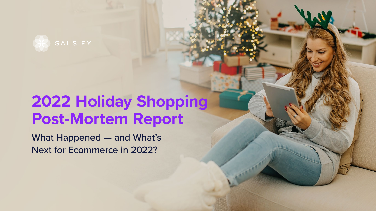

## **2022 Holiday Shopping Post-Mortem Report**

What Happened — and What's Next for Ecommerce in 2022?

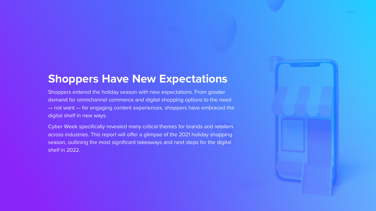Shoppers entered the holiday season with new expectations. From greater demand for omnichannel commerce and digital shopping options to the need — not want — for engaging content experiences, shoppers have embraced the digital shelf in new ways.

## **Shoppers Have New Expectations**

Cyber Week specifically revealed many critical themes for brands and retailers across industries. This report will offer a glimpse of the 2021 holiday shopping season, outlining the most significant takeaways and next steps for the digital shelf in 2022.



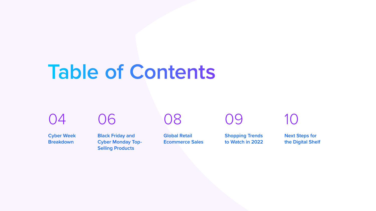[04](#page-3-0)

**Cyber Week Breakdown**

[09](#page-8-0)

**Shopping Trends to Watch in 2022**

[10](#page-9-0)

**Next Steps for the Digital Shelf**

[06](#page-5-0)

**Black Friday and Cyber Monday Top-Selling Products**

[08](#page-7-0)

**Global Retail Ecommerce Sales**

# **Table of Contents**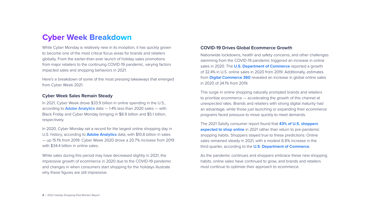While Cyber Monday is relatively new in its inception, it has quickly grown to become one of the most critical focus areas for brands and retailers globally. From the earlier-than-ever launch of holiday sales promotions from major retailers to the continuing COVID-19 pandemic, varying factors impacted sales and shopping behaviors in 2021.

In 2020, Cyber Monday set a record for the largest online shopping day in U.S. history, according to **[Adobe Analytics](https://business.adobe.com/blog/the-latest/cyber-week-online-shopping)** data, with \$10.8 billion in sales — up 15.1% from 2019. Cyber Week 2020 drove a 20.7% increase from 2019 with \$34.4 billion in online sales.

Here's a breakdown of some of the most pressing takeaways that emerged from Cyber Week 2021.

#### **Cyber Week Sales Remain Steady**

In 2021, Cyber Week drove \$33.9 billion in online spending in the U.S., according to **[Adobe Analytics](https://blog.adobe.com/en/publish/2021/11/30/adobe-consumers-spent-10-8-billion-on-cyber-monday-109-8-billion-so-far-this-holiday-season#gs.ixlfbn)** data - 1.4% less than 2020 sales - with Black Friday and Cyber Monday bringing in \$8.9 billion and \$5.1 billion, respectively.

While sales during this period may have decreased slightly in 2021, the impressive growth of ecommerce in 2020 due to the COVID-19 pandemic and changes in when consumers start shopping for the holidays illustrate why these figures are still impressive.

#### **COVID-19 Drives Global Ecommerce Growth**

Nationwide lockdowns, health and safety concerns, and other challenges stemming from the COVID-19 pandemic triggered an increase in online sales in 2020. The **[U.S. Department of Commerce](https://www.census.gov/retail/mrts/www/data/pdf/ec_current.pdf)** reported a growth of 32.4% in U.S. online sales in 2020 from 2019. Additionally, estimates from **[Digital Commerce 360](https://www.digitalcommerce360.com/article/global-ecommerce-sales/)** revealed an increase in global online sales in 2020 of 24.1% from 2019.

This surge in online shopping naturally prompted brands and retailers to prioritize ecommerce — accelerating the growth of this channel at unexpected rates. Brands and retailers with strong digital maturity had an advantage, while those just launching or expanding their ecommerce programs faced pressure to move quickly to meet demands.

The 2021 Salsify consumer report found that **[43% of U.S. shoppers](https://www.salsify.com/resources/report-2021-salsify-consumer-research-report)  [expected to shop online](https://www.salsify.com/resources/report-2021-salsify-consumer-research-report)** in 2021 rather than return to pre-pandemic shopping habits. Shoppers stayed true to these predictions: Online sales remained steady in 2021, with a modest 6.8% increase in the third quarter, according to the **[U.S. Department of Commerce](https://www.census.gov/retail/mrts/www/data/pdf/ec_current.pdf)**.

As the pandemic continues and shoppers embrace these new shopping habits, online sales have continued to grow, and brands and retailers must continue to optimize their approach to ecommerce.

## <span id="page-3-0"></span>**Cyber Week Breakdown**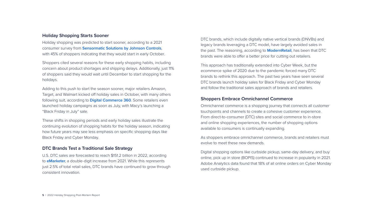#### **Holiday Shopping Starts Sooner**

Holiday shopping was predicted to start sooner, according to a 2021 consumer survey from **[Sensormatic Solutions by Johnson Controls](https://www.sensormatic.com/resources/pr/2021/2021-holiday-consumer-sentiment-survey)**, with 45% of shoppers indicating that they would start in early October.

Shoppers cited several reasons for these early shopping habits, including concern about product shortages and shipping delays. Additionally, just 11% of shoppers said they would wait until December to start shopping for the holidays.

Adding to this push to start the season sooner, major retailers Amazon, Target, and Walmart kicked off holiday sales in October, with many others following suit, according to **[Digital Commerce 360](https://www.digitalcommerce360.com/2021/10/15/online-retailers-begin-holiday-marketing-flurry/)**. Some retailers even launched holiday campaigns as soon as July, with Macy's launching a "Black Friday in July" sale.

These shifts in shopping periods and early holiday sales illustrate the continuing evolution of shopping habits for the holiday season, indicating how future years may see less emphasis on specific shopping days like Black Friday and Cyber Monday.

#### **DTC Brands Test a Traditional Sale Strategy**

U.S. DTC sales are forecasted to reach \$151.2 billion in 2022, according to **[eMarketer](https://www.emarketer.com/content/how-d2c-brands-diversifying-consumer-experience-disrupt-retail-industry)**, a double-digit increase from 2021. While this represents just 2.5% of total retail sales, DTC brands have continued to grow through consistent innovation.

DTC brands, which include digitally native vertical brands (DNVBs) and legacy brands leveraging a DTC model, have largely avoided sales in the past. The reasoning, according to **[ModernRetail](https://www.modernretail.co/startups/dtc-briefing-startups-embrace-black-friday-with-earlier-deals/)**, has been that DTC brands were able to offer a better price for cutting out retailers.

This approach has traditionally extended into Cyber Week, but the ecommerce spike of 2020 due to the pandemic forced many DTC brands to rethink this approach. The past two years have seen several DTC brands launch holiday sales for Black Friday and Cyber Monday and follow the traditional sales approach of brands and retailers.

#### **Shoppers Embrace Omnichannel Commerce**

Omnichannel commerce is a shopping journey that connects all customer touchpoints and channels to create a cohesive customer experience. From direct-to-consumer (DTC) sites and social commerce to in-store and online shopping experiences, the number of shopping options available to consumers is continually expanding.

As shoppers embrace omnichannel commerce, brands and retailers must evolve to meet these new demands.

Digital shopping options like curbside pickup, same-day delivery, and buy online, pick up in store (BOPIS) continued to increase in popularity in 2021. Adobe Analytics data found that 18% of all online orders on Cyber Monday used curbside pickup.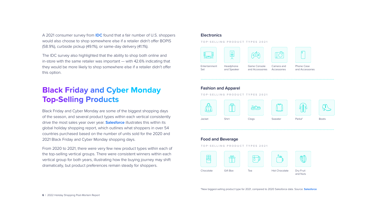<span id="page-5-0"></span>A 2021 consumer survey from **[IDC](https://blogs.idc.com/2021/06/30/kickin-it-curbside-enabling-the-retail-workforce-for-omnichannel-fulfillment/)** found that a fair number of U.S. shoppers would also choose to shop somewhere else if a retailer didn't offer BOPIS (58.9%), curbside pickup (49.1%), or same-day delivery (41.1%).

The IDC survey also highlighted that the ability to shop both online and in-store with the same retailer was important — with 42.6% indicating that they would be more likely to shop somewhere else if a retailer didn't offer this option.

Black Friday and Cyber Monday are some of the biggest shopping days of the season, and several product types within each vertical consistently drive the most sales year over year. **[Salesforce](https://www.salesforce.com/resources/research-reports/retail-holiday-insights/)** illustrates this within its global holiday shopping report, which outlines what shoppers in over 54 countries purchased based on the number of units sold for the 2020 and 2021 Black Friday and Cyber Monday shopping days.

From 2020 to 2021, there were very few new product types within each of the top-selling vertical groups. There were consistent winners within each vertical group for both years, illustrating how the buying journey may shift dramatically, but product preferences remain steady for shoppers.

#### **Electronics**

#### **Fashion and Apparel**

#### **Food and Beverage**

Entertainment Set

Camera and Accessories

Headphone and Speaker



Phone Case and Accessories



Game Console and Accessories

## **Black Friday and Cyber Monday Top-Selling Products**

**TOP-SELLING PRODUCT TYPES 2021**











**TOP-SELLING PRODUCT TYPES 2021**

**TOP-SELLING PRODUCT TYPES 2021**

\*New biggest-selling product type for 2021, compared to 2020 Salesforce data. Source: **[Salesforce](https://www.salesforce.com/resources/research-reports/retail-holiday-insights/)**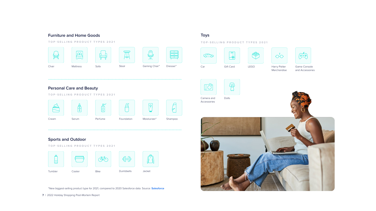**7** | 2022 Holiday Shopping Post-Mortem Report

#### **Furniture and Home Goods**

|       | $16 - 16 = 36$  |      | ==    | $\overline{\phantom{a}}$ |          |
|-------|-----------------|------|-------|--------------------------|----------|
| Chair | <b>Mattress</b> | Sofa | Stool | Gaming Chair*            | Dresser* |

#### **Personal Care and Beauty**

#### **Sports and Outdoor**

Cream

Foundation

Serum

| Tumbler | Cooler | <b>Bike</b> | <b>Dumbbells</b> | Jacket |
|---------|--------|-------------|------------------|--------|



Shampoo

Perfume

**TOP-SELLING PRODUCT TYPES 2021**

**TOP-SELLING PRODUCT TYPES 2021**

**TOP-SELLING PRODUCT TYPES 2021**

#### **Toys**

Car



 $\overline{\phantom{a}}$ 

60



Camera and Accessories

 $\bigcirc$ 

Harry Potter Merchandise



Game Console and Accessories



Gift Card



Dolls

LEGO



**TOP-SELLING PRODUCT TYPES 2021**

\*New biggest-selling product type for 2021, compared to 2020 Salesforce data. Source: **[Salesforce](https://www.salesforce.com/resources/research-reports/retail-holiday-insights/)**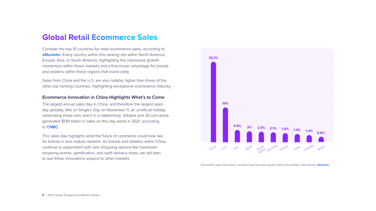Consider the top 10 countries for retail ecommerce sales, according to **[eMarketer](https://www.emarketer.com/content/top-global-ecommerce-markets)**. Every country within this ranking sits within North America, Europe, Asia, or South America, highlighting the impressive growth momentum within these markets and a first-mover advantage for brands and retailers within these regions that invest early.

Sales from China and the U.S. are also notably higher than those of the other top-ranking countries, highlighting exceptional ecommerce maturity.

#### **Ecommerce Innovation in China Highlights What's to Come**

The largest annual sales day in China, and therefore the largest sales day globally, falls on Singles' Day on November 11, an unofficial holiday celebrating those who aren't in a relationship. Alibaba and JD.com alone generated \$139 billion in sales on this day alone in 2021, according to **[CNBC](https://www.cnbc.com/2021/11/12/china-singles-day-2021-alibaba-jd-hit-record-139-billion-of-sales.html)**.

This sales day highlights what the future of commerce could look like for brands in less-mature markets. As brands and retailers within China continue to experiment with new shopping options like livestream shopping events, gamification, and swift delivery times, we will start to see these innovations expand to other markets.

## <span id="page-7-0"></span>**Global Retail Ecommerce Sales**



Ecommerce sales have shown consistent year-over-year growth within most markets. Data Source: **[eMarketer](https://www.emarketer.com/content/top-global-ecommerce-markets)**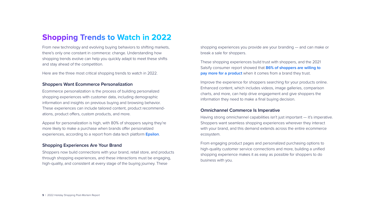From new technology and evolving buying behaviors to shifting markets, there's only one constant in commerce: change. Understanding how shopping trends evolve can help you quickly adapt to meet these shifts and stay ahead of the competition.

Here are the three most critical shopping trends to watch in 2022.

#### **Shoppers Want Ecommerce Personalization**

Ecommerce personalization is the process of building personalized shopping experiences with customer data, including demographic information and insights on previous buying and browsing behavior. These experiences can include tailored content, product recommendations, product offers, custom products, and more.

These shopping experiences build trust with shoppers, and the 2021 Salsify consumer report showed that **[86% of shoppers are willing to](https://www.salsify.com/resources/report-2021-salsify-consumer-research-report)  [pay more for a product](https://www.salsify.com/resources/report-2021-salsify-consumer-research-report)** when it comes from a brand they trust.

Appeal for personalization is high, with 80% of shoppers saying they're more likely to make a purchase when brands offer personalized experiences, according to a report from data tech platform **[Epsilon](https://www.epsilon.com/us/about-us/pressroom/new-epsilon-research-indicates-80-of-consumers-are-more-likely-to-make-a-purchase-when-brands-offer-personalized-experiences)**.

#### **Shopping Experiences Are Your Brand**

Shoppers now build connections with your brand, retail store, and products through shopping experiences, and these interactions must be engaging, high-quality, and consistent at every stage of the buying journey. These

## <span id="page-8-0"></span>**Shopping Trends to Watch in 2022**

shopping experiences you provide are your branding — and can make or break a sale for shoppers.

Improve the experience for shoppers searching for your products online. Enhanced content, which includes videos, image galleries, comparison charts, and more, can help drive engagement and give shoppers the information they need to make a final buying decision.

#### **Omnichannel Commerce Is Imperative**

Having strong omnichannel capabilities isn't just important — it's imperative. Shoppers want seamless shopping experiences wherever they interact with your brand, and this demand extends across the entire ecommerce ecosystem.

From engaging product pages and personalized purchasing options to high-quality customer service connections and more, building a unified shopping experience makes it as easy as possible for shoppers to do business with you.